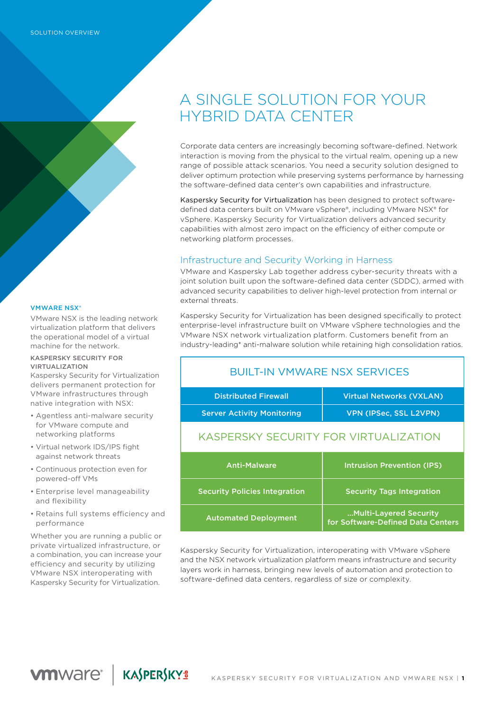#### **VMWARE NSX®**

VMware NSX is the leading network virtualization platform that delivers the operational model of a virtual machine for the network.

#### KASPERSKY SECURITY FOR VIRTUALIZATION

Kaspersky Security for Virtualization delivers permanent protection for VMware infrastructures through native integration with NSX:

- Agentless anti-malware security for VMware compute and networking platforms
- Virtual network IDS/IPS fight against network threats
- Continuous protection even for powered-off VMs
- Enterprise level manageability and flexibility
- Retains full systems efficiency and performance

Whether you are running a public or private virtualized infrastructure, or a combination, you can increase your efficiency and security by utilizing VMware NSX interoperating with Kaspersky Security for Virtualization.

**VMWAre<sup>®</sup> | KASPERSKY<sup>ª</sup>** 

# A SINGLE SOLUTION FOR YOUR HYBRID DATA CENTER

Corporate data centers are increasingly becoming software-defined. Network interaction is moving from the physical to the virtual realm, opening up a new range of possible attack scenarios. You need a security solution designed to deliver optimum protection while preserving systems performance by harnessing the software-defined data center's own capabilities and infrastructure.

Kaspersky Security for Virtualization has been designed to protect softwaredefined data centers built on VMware vSphere®, including VMware NSX® for vSphere. Kaspersky Security for Virtualization delivers advanced security capabilities with almost zero impact on the efficiency of either compute or networking platform processes.

## Infrastructure and Security Working in Harness

VMware and Kaspersky Lab together address cyber-security threats with a joint solution built upon the software-defined data center (SDDC), armed with advanced security capabilities to deliver high-level protection from internal or external threats.

Kaspersky Security for Virtualization has been designed specifically to protect enterprise-level infrastructure built on VMware vSphere technologies and the VMware NSX network virtualization platform. Customers benefit from an industry-leading\* anti-malware solution while retaining high consolidation ratios.

## BUILT-IN VMWARE NSX SERVICES

| <b>Distributed Firewall</b>           | <b>Virtual Networks (VXLAN)</b>   |
|---------------------------------------|-----------------------------------|
| <b>Server Activity Monitoring</b>     | <b>VPN (IPSec, SSL L2VPN)</b>     |
| KASPERSKY SECURITY FOR VIRTUALIZATION |                                   |
| <b>Anti-Malware</b>                   | <b>Intrusion Prevention (IPS)</b> |
| <b>Security Policies Integration</b>  | <b>Security Tags Integration</b>  |

Kaspersky Security for Virtualization, interoperating with VMware vSphere and the NSX network virtualization platform means infrastructure and security layers work in harness, bringing new levels of automation and protection to software-defined data centers, regardless of size or complexity.

…Multi-Layered Security for Software-Defined Data Centers

Automated Deployment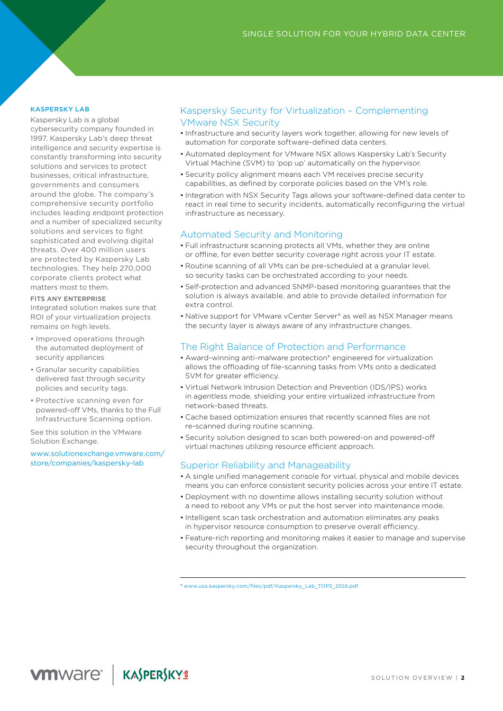#### KASPERSKY LAB

Kaspersky Lab is a global cybersecurity company founded in 1997. Kaspersky Lab's deep threat intelligence and security expertise is constantly transforming into security solutions and services to protect businesses, critical infrastructure, governments and consumers around the globe. The company's comprehensive security portfolio includes leading endpoint protection and a number of specialized security solutions and services to fight sophisticated and evolving digital threats. Over 400 million users are protected by Kaspersky Lab technologies. They help 270,000 corporate clients protect what matters most to them.

#### FITS ANY ENTERPRISE

Integrated solution makes sure that ROI of your virtualization projects remains on high levels.

- Improved operations through the automated deployment of security appliances
- Granular security capabilities delivered fast through security policies and security tags.
- Protective scanning even for powered-off VMs, thanks to the Full Infrastructure Scanning option.

See this solution in the VMware Solution Exchange.

www[.solutionexchange.vmware.com/](https://solutionexchange.vmware.com/store/companies/kaspersky-lab) [store/companies/kaspersky-lab](https://solutionexchange.vmware.com/store/companies/kaspersky-lab)

## Kaspersky Security for Virtualization – Complementing VMware NSX Security

- Infrastructure and security layers work together, allowing for new levels of automation for corporate software-defined data centers.
- Automated deployment for VMware NSX allows Kaspersky Lab's Security Virtual Machine (SVM) to 'pop up' automatically on the hypervisor.
- Security policy alignment means each VM receives precise security capabilities, as defined by corporate policies based on the VM's role.
- Integration with NSX Security Tags allows your software-defined data center to react in real time to security incidents, automatically reconfiguring the virtual infrastructure as necessary.

## Automated Security and Monitoring

- Full infrastructure scanning protects all VMs, whether they are online or offline, for even better security coverage right across your IT estate.
- Routine scanning of all VMs can be pre-scheduled at a granular level, so security tasks can be orchestrated according to your needs.
- Self-protection and advanced SNMP-based monitoring guarantees that the solution is always available, and able to provide detailed information for extra control.
- Native support for VMware vCenter Server® as well as NSX Manager means the security layer is always aware of any infrastructure changes.

## The Right Balance of Protection and Performance

- Award-winning anti-malware protection\* engineered for virtualization allows the offloading of file-scanning tasks from VMs onto a dedicated SVM for greater efficiency.
- Virtual Network Intrusion Detection and Prevention (IDS/IPS) works in agentless mode, shielding your entire virtualized infrastructure from network-based threats.
- Cache based optimization ensures that recently scanned files are not re-scanned during routine scanning.
- Security solution designed to scan both powered-on and powered-off virtual machines utilizing resource efficient approach.

## Superior Reliability and Manageability

- A single unified management console for virtual, physical and mobile devices means you can enforce consistent security policies across your entire IT estate.
- Deployment with no downtime allows installing security solution without a need to reboot any VMs or put the host server into maintenance mode.
- Intelligent scan task orchestration and automation eliminates any peaks in hypervisor resource consumption to preserve overall efficiency.
- Feature-rich reporting and monitoring makes it easier to manage and supervise security throughout the organization.

\* www[.usa.kaspersky.com/files/pdf/Kaspersky\\_Lab\\_TOP3\\_2016.pdf](http://usa.kaspersky.com/files/pdf/Kaspersky_Lab_TOP3_2016.pdf)